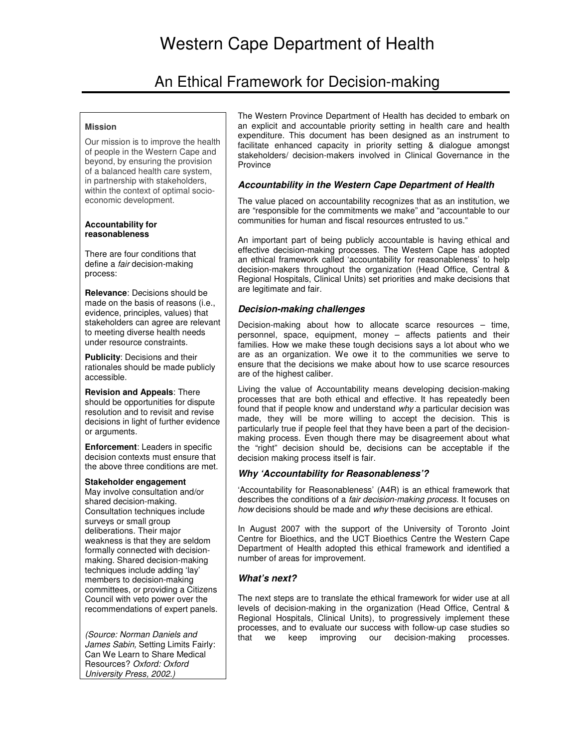# Western Cape Department of Health

## An Ethical Framework for Decision-making

#### **Mission**

Our mission is to improve the health of people in the Western Cape and beyond, by ensuring the provision of a balanced health care system, in partnership with stakeholders, within the context of optimal socioeconomic development.

#### **Accountability for reasonableness**

There are four conditions that define a *fair* decision-making process:

**Relevance**: Decisions should be made on the basis of reasons (i.e., evidence, principles, values) that stakeholders can agree are relevant to meeting diverse health needs under resource constraints.

**Publicity**: Decisions and their rationales should be made publicly accessible.

## **Revision and Appeals**: There

should be opportunities for dispute resolution and to revisit and revise decisions in light of further evidence or arguments.

**Enforcement**: Leaders in specific decision contexts must ensure that the above three conditions are met.

#### **Stakeholder engagement**

May involve consultation and/or shared decision-making. Consultation techniques include surveys or small group deliberations. Their major weakness is that they are seldom formally connected with decisionmaking. Shared decision-making techniques include adding 'lay' members to decision-making committees, or providing a Citizens Council with veto power over the recommendations of expert panels.

(Source: Norman Daniels and James Sabin, Setting Limits Fairly: Can We Learn to Share Medical Resources? Oxford: Oxford University Press, 2002.)

The Western Province Department of Health has decided to embark on an explicit and accountable priority setting in health care and health expenditure. This document has been designed as an instrument to facilitate enhanced capacity in priority setting & dialogue amongst stakeholders/ decision-makers involved in Clinical Governance in the **Province** 

## **Accountability in the Western Cape Department of Health**

The value placed on accountability recognizes that as an institution, we are "responsible for the commitments we make" and "accountable to our communities for human and fiscal resources entrusted to us."

An important part of being publicly accountable is having ethical and effective decision-making processes. The Western Cape has adopted an ethical framework called 'accountability for reasonableness' to help decision-makers throughout the organization (Head Office, Central & Regional Hospitals, Clinical Units) set priorities and make decisions that are legitimate and fair.

## **Decision-making challenges**

Decision-making about how to allocate scarce resources – time, personnel, space, equipment, money – affects patients and their families. How we make these tough decisions says a lot about who we are as an organization. We owe it to the communities we serve to ensure that the decisions we make about how to use scarce resources are of the highest caliber.

Living the value of Accountability means developing decision-making processes that are both ethical and effective. It has repeatedly been found that if people know and understand why a particular decision was made, they will be more willing to accept the decision. This is particularly true if people feel that they have been a part of the decisionmaking process. Even though there may be disagreement about what the "right" decision should be, decisions can be acceptable if the decision making process itself is fair.

## **Why 'Accountability for Reasonableness'?**

'Accountability for Reasonableness' (A4R) is an ethical framework that describes the conditions of a fair decision-making process. It focuses on how decisions should be made and why these decisions are ethical.

In August 2007 with the support of the University of Toronto Joint Centre for Bioethics, and the UCT Bioethics Centre the Western Cape Department of Health adopted this ethical framework and identified a number of areas for improvement.

## **What's next?**

The next steps are to translate the ethical framework for wider use at all levels of decision-making in the organization (Head Office, Central & Regional Hospitals, Clinical Units), to progressively implement these processes, and to evaluate our success with follow-up case studies so that we keep improving our decision-making processes.